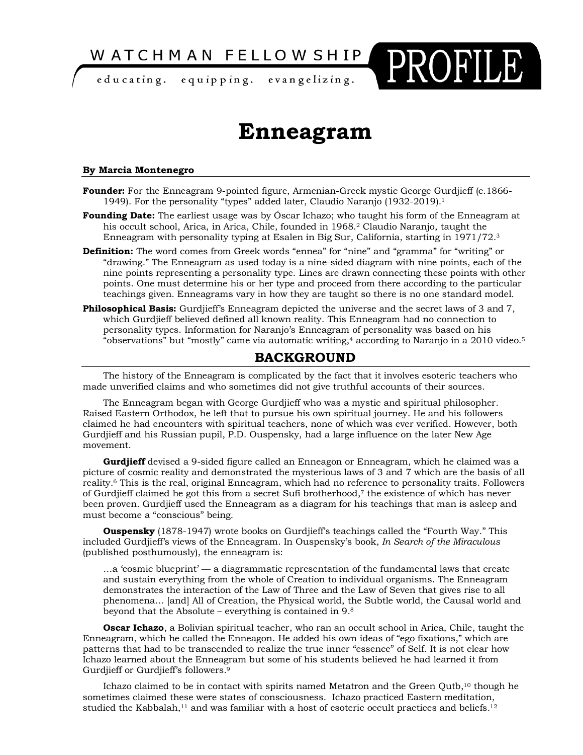WATCHMAN FELLOWSHIP

educating. equipping. evangelizing.

# **Enneagram**

PROFILE

#### **By Marcia Montenegro**

- **Founder:** For the Enneagram 9-pointed figure, Armenian-Greek mystic George Gurdjieff (c.1866- 1949). For the personality "types" added later, Claudio Naranjo (1932-2019).1
- **Founding Date:** The earliest usage was by Óscar Ichazo; who taught his form of the Enneagram at his occult school, Arica, in Arica, Chile, founded in 1968.2 Claudio Naranjo, taught the Enneagram with personality typing at Esalen in Big Sur, California, starting in 1971/72.3
- **Definition:** The word comes from Greek words "ennea" for "nine" and "gramma" for "writing" or "drawing." The Enneagram as used today is a nine-sided diagram with nine points, each of the nine points representing a personality type. Lines are drawn connecting these points with other points. One must determine his or her type and proceed from there according to the particular teachings given. Enneagrams vary in how they are taught so there is no one standard model.
- **Philosophical Basis:** Gurdjieff's Enneagram depicted the universe and the secret laws of 3 and 7, which Gurdjieff believed defined all known reality. This Enneagram had no connection to personality types. Information for Naranjo's Enneagram of personality was based on his "observations" but "mostly" came via automatic writing, $4$  according to Naranjo in a 2010 video. $5$

### **BACKGROUND**

The history of the Enneagram is complicated by the fact that it involves esoteric teachers who made unverified claims and who sometimes did not give truthful accounts of their sources.

The Enneagram began with George Gurdjieff who was a mystic and spiritual philosopher. Raised Eastern Orthodox, he left that to pursue his own spiritual journey. He and his followers claimed he had encounters with spiritual teachers, none of which was ever verified. However, both Gurdjieff and his Russian pupil, P.D. Ouspensky, had a large influence on the later New Age movement.

**Gurdjieff** devised a 9-sided figure called an Enneagon or Enneagram, which he claimed was a picture of cosmic reality and demonstrated the mysterious laws of 3 and 7 which are the basis of all reality.6 This is the real, original Enneagram, which had no reference to personality traits. Followers of Gurdjieff claimed he got this from a secret Sufi brotherhood,7 the existence of which has never been proven. Gurdjieff used the Enneagram as a diagram for his teachings that man is asleep and must become a "conscious" being.

**Ouspensky** (1878-1947) wrote books on Gurdjieff's teachings called the "Fourth Way." This included Gurdjieff's views of the Enneagram. In Ouspensky's book, *In Search of the Miraculous* (published posthumously), the enneagram is:

…a 'cosmic blueprint' — a diagrammatic representation of the fundamental laws that create and sustain everything from the whole of Creation to individual organisms. The Enneagram demonstrates the interaction of the Law of Three and the Law of Seven that gives rise to all phenomena… [and] All of Creation, the Physical world, the Subtle world, the Causal world and beyond that the Absolute – everything is contained in 9.8

**Oscar Ichazo**, a Bolivian spiritual teacher, who ran an occult school in Arica, Chile, taught the Enneagram, which he called the Enneagon. He added his own ideas of "ego fixations," which are patterns that had to be transcended to realize the true inner "essence" of Self. It is not clear how Ichazo learned about the Enneagram but some of his students believed he had learned it from Gurdjieff or Gurdjieff's followers.9

Ichazo claimed to be in contact with spirits named Metatron and the Green Qutb,<sup>10</sup> though he sometimes claimed these were states of consciousness. Ichazo practiced Eastern meditation, studied the Kabbalah, $11$  and was familiar with a host of esoteric occult practices and beliefs. $12$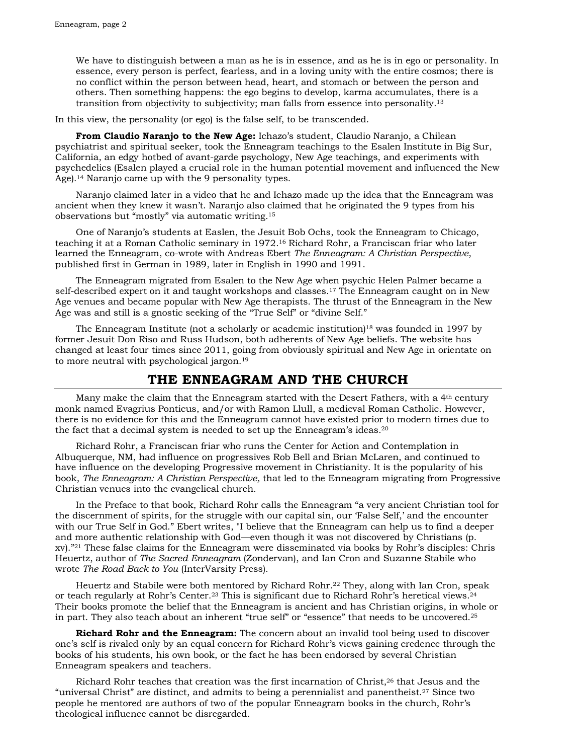We have to distinguish between a man as he is in essence, and as he is in ego or personality. In essence, every person is perfect, fearless, and in a loving unity with the entire cosmos; there is no conflict within the person between head, heart, and stomach or between the person and others. Then something happens: the ego begins to develop, karma accumulates, there is a transition from objectivity to subjectivity; man falls from essence into personality.13

In this view, the personality (or ego) is the false self, to be transcended.

**From Claudio Naranjo to the New Age:** Ichazo's student, Claudio Naranjo, a Chilean psychiatrist and spiritual seeker, took the Enneagram teachings to the Esalen Institute in Big Sur, California, an edgy hotbed of avant-garde psychology, New Age teachings, and experiments with psychedelics (Esalen played a crucial role in the human potential movement and influenced the New Age).<sup>14</sup> Naranjo came up with the 9 personality types.

Naranjo claimed later in a video that he and Ichazo made up the idea that the Enneagram was ancient when they knew it wasn't. Naranjo also claimed that he originated the 9 types from his observations but "mostly" via automatic writing.15

One of Naranjo's students at Easlen, the Jesuit Bob Ochs, took the Enneagram to Chicago, teaching it at a Roman Catholic seminary in 1972.16 Richard Rohr, a Franciscan friar who later learned the Enneagram, co-wrote with Andreas Ebert *The Enneagram: A Christian Perspective*, published first in German in 1989, later in English in 1990 and 1991.

The Enneagram migrated from Esalen to the New Age when psychic Helen Palmer became a self-described expert on it and taught workshops and classes.<sup>17</sup> The Enneagram caught on in New Age venues and became popular with New Age therapists. The thrust of the Enneagram in the New Age was and still is a gnostic seeking of the "True Self" or "divine Self."

The Enneagram Institute (not a scholarly or academic institution)<sup>18</sup> was founded in 1997 by former Jesuit Don Riso and Russ Hudson, both adherents of New Age beliefs. The website has changed at least four times since 2011, going from obviously spiritual and New Age in orientate on to more neutral with psychological jargon.19

#### **THE ENNEAGRAM AND THE CHURCH**

Many make the claim that the Enneagram started with the Desert Fathers, with a 4<sup>th</sup> century monk named Evagrius Ponticus, and/or with Ramon Llull, a medieval Roman Catholic. However, there is no evidence for this and the Enneagram cannot have existed prior to modern times due to the fact that a decimal system is needed to set up the Enneagram's ideas.20

Richard Rohr, a Franciscan friar who runs the Center for Action and Contemplation in Albuquerque, NM, had influence on progressives Rob Bell and Brian McLaren, and continued to have influence on the developing Progressive movement in Christianity. It is the popularity of his book, *The Enneagram: A Christian Perspective,* that led to the Enneagram migrating from Progressive Christian venues into the evangelical church.

In the Preface to that book, Richard Rohr calls the Enneagram "a very ancient Christian tool for the discernment of spirits, for the struggle with our capital sin, our 'False Self,' and the encounter with our True Self in God." Ebert writes, "I believe that the Enneagram can help us to find a deeper and more authentic relationship with God—even though it was not discovered by Christians (p. xv)."21 These false claims for the Enneagram were disseminated via books by Rohr's disciples: Chris Heuertz, author of *The Sacred Enneagram* (Zondervan), and Ian Cron and Suzanne Stabile who wrote *The Road Back to You* (InterVarsity Press).

Heuertz and Stabile were both mentored by Richard Rohr.22 They, along with Ian Cron, speak or teach regularly at Rohr's Center.23 This is significant due to Richard Rohr's heretical views.24 Their books promote the belief that the Enneagram is ancient and has Christian origins, in whole or in part. They also teach about an inherent "true self" or "essence" that needs to be uncovered.25

**Richard Rohr and the Enneagram:** The concern about an invalid tool being used to discover one's self is rivaled only by an equal concern for Richard Rohr's views gaining credence through the books of his students, his own book, or the fact he has been endorsed by several Christian Enneagram speakers and teachers.

Richard Rohr teaches that creation was the first incarnation of Christ,26 that Jesus and the "universal Christ" are distinct, and admits to being a perennialist and panentheist.27 Since two people he mentored are authors of two of the popular Enneagram books in the church, Rohr's theological influence cannot be disregarded.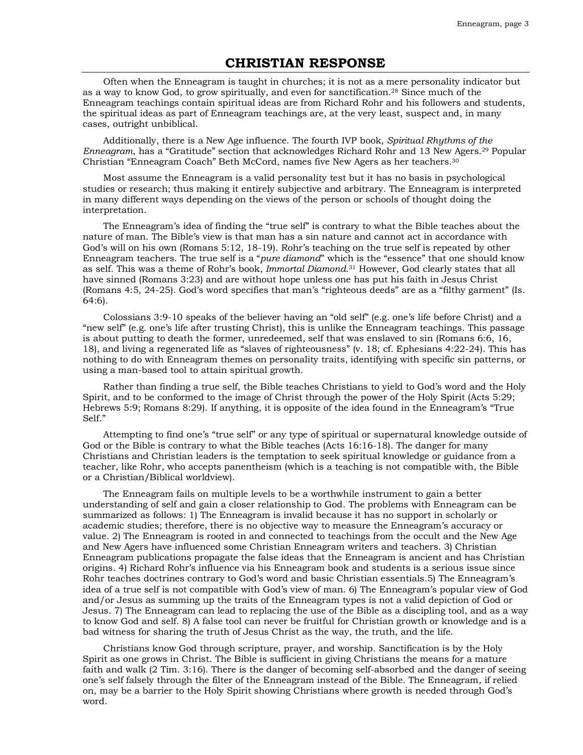## **CHRISTIAN RESPONSE**

Often when the Enneagram is taught in churches; it is not as a mere personality indicator but as a way to know God, to grow spiritually, and even for sanctification.28 Since much of the Enneagram teachings contain spiritual ideas are from Richard Rohr and his followers and students, the spiritual ideas as part of Enneagram teachings are, at the very least, suspect and, in many cases, outright unbiblical.

Additionally, there is a New Age influence. The fourth IVP book, *Spiritual Rhythms of the Enneagram*, has a "Gratitude" section that acknowledges Richard Rohr and 13 New Agers.29 Popular Christian "Enneagram Coach" Beth McCord, names five New Agers as her teachers.30

Most assume the Enneagram is a valid personality test but it has no basis in psychological studies or research; thus making it entirely subjective and arbitrary. The Enneagram is interpreted in many different ways depending on the views of the person or schools of thought doing the interpretation.

The Enneagram's idea of finding the "true self" is contrary to what the Bible teaches about the nature of man. The Bible's view is that man has a sin nature and cannot act in accordance with God's will on his own (Romans 5:12, 18-19). Rohr's teaching on the true self is repeated by other Enneagram teachers. The true self is a "*pure diamond*" which is the "essence" that one should know as self. This was a theme of Rohr's book, *Immortal Diamond*.31 However, God clearly states that all have sinned (Romans 3:23) and are without hope unless one has put his faith in Jesus Christ (Romans 4:5, 24-25). God's word specifies that man's "righteous deeds" are as a "filthy garment" (Is. 64:6).

Colossians 3:9-10 speaks of the believer having an "old self" (e.g. one's life before Christ) and a "new self" (e.g. one's life after trusting Christ), this is unlike the Enneagram teachings. This passage is about putting to death the former, unredeemed, self that was enslaved to sin (Romans 6:6, 16, 18), and living a regenerated life as "slaves of righteousness" (v. 18; cf. Ephesians 4:22-24). This has nothing to do with Enneagram themes on personality traits, identifying with specific sin patterns, or using a man-based tool to attain spiritual growth.

Rather than finding a true self, the Bible teaches Christians to yield to God's word and the Holy Spirit, and to be conformed to the image of Christ through the power of the Holy Spirit (Acts 5:29; Hebrews 5:9; Romans 8:29). If anything, it is opposite of the idea found in the Enneagram's "True Self."

Attempting to find one's "true self" or any type of spiritual or supernatural knowledge outside of God or the Bible is contrary to what the Bible teaches (Acts 16:16-18). The danger for many Christians and Christian leaders is the temptation to seek spiritual knowledge or guidance from a teacher, like Rohr, who accepts panentheism (which is a teaching is not compatible with, the Bible or a Christian/Biblical worldview).

The Enneagram fails on multiple levels to be a worthwhile instrument to gain a better understanding of self and gain a closer relationship to God. The problems with Enneagram can be summarized as follows: 1) The Enneagram is invalid because it has no support in scholarly or academic studies; therefore, there is no objective way to measure the Enneagram's accuracy or value. 2) The Enneagram is rooted in and connected to teachings from the occult and the New Age and New Agers have influenced some Christian Enneagram writers and teachers. 3) Christian Enneagram publications propagate the false ideas that the Enneagram is ancient and has Christian origins. 4) Richard Rohr's influence via his Enneagram book and students is a serious issue since Rohr teaches doctrines contrary to God's word and basic Christian essentials.5) The Enneagram's idea of a true self is not compatible with God's view of man. 6) The Enneagram's popular view of God and/or Jesus as summing up the traits of the Enneagram types is not a valid depiction of God or Jesus. 7) The Enneagram can lead to replacing the use of the Bible as a discipling tool, and as a way to know God and self. 8) A false tool can never be fruitful for Christian growth or knowledge and is a bad witness for sharing the truth of Jesus Christ as the way, the truth, and the life.

Christians know God through scripture, prayer, and worship. Sanctification is by the Holy Spirit as one grows in Christ. The Bible is sufficient in giving Christians the means for a mature faith and walk (2 Tim. 3:16). There is the danger of becoming self-absorbed and the danger of seeing one's self falsely through the filter of the Enneagram instead of the Bible. The Enneagram, if relied on, may be a barrier to the Holy Spirit showing Christians where growth is needed through God's word.